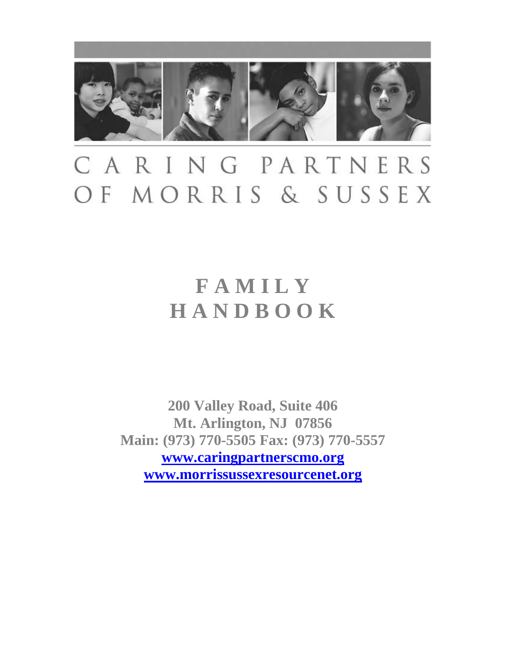

# CARING PARTNERS OF MORRIS & SUSSEX

## **F A M I L Y H A N D B O O K**

**200 Valley Road, Suite 406 Mt. Arlington, NJ 07856 Main: (973) 770-5505 Fax: (973) 770-5557 [www.caringpartnerscmo.org](http://www.caringpartnerscmo.org/) [www.morrissussexresourcenet.org](http://www.morrissussexresourcenet.org/)**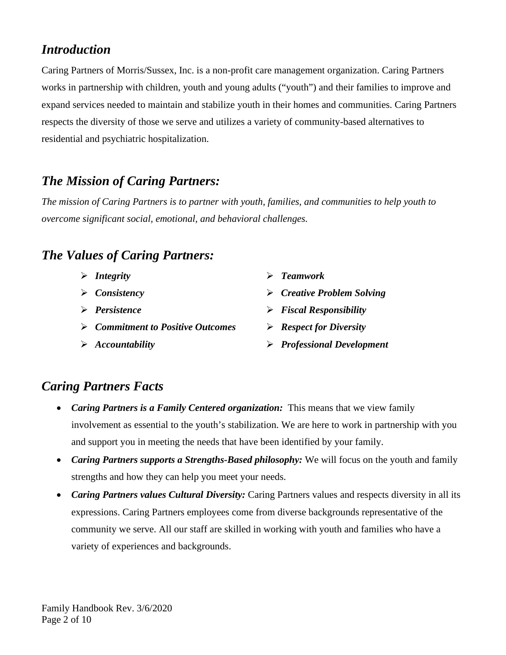#### *Introduction*

Caring Partners of Morris/Sussex, Inc. is a non-profit care management organization. Caring Partners works in partnership with children, youth and young adults ("youth") and their families to improve and expand services needed to maintain and stabilize youth in their homes and communities. Caring Partners respects the diversity of those we serve and utilizes a variety of community-based alternatives to residential and psychiatric hospitalization.

## *The Mission of Caring Partners:*

*The mission of Caring Partners is to partner with youth, families, and communities to help youth to overcome significant social, emotional, and behavioral challenges.* 

### *The Values of Caring Partners:*

- 
- 
- 
- *Commitment to Positive Outcomes Respect for Diversity*
- 
- *Integrity Teamwork*
- *Consistency Creative Problem Solving*
- *Persistence Fiscal Responsibility*
	-
- *Accountability Professional Development*

## *Caring Partners Facts*

- *Caring Partners is a Family Centered organization:*This means that we view family involvement as essential to the youth's stabilization. We are here to work in partnership with you and support you in meeting the needs that have been identified by your family.
- *Caring Partners supports a Strengths-Based philosophy:* We will focus on the youth and family strengths and how they can help you meet your needs.
- *Caring Partners values Cultural Diversity:* Caring Partners values and respects diversity in all its expressions. Caring Partners employees come from diverse backgrounds representative of the community we serve. All our staff are skilled in working with youth and families who have a variety of experiences and backgrounds.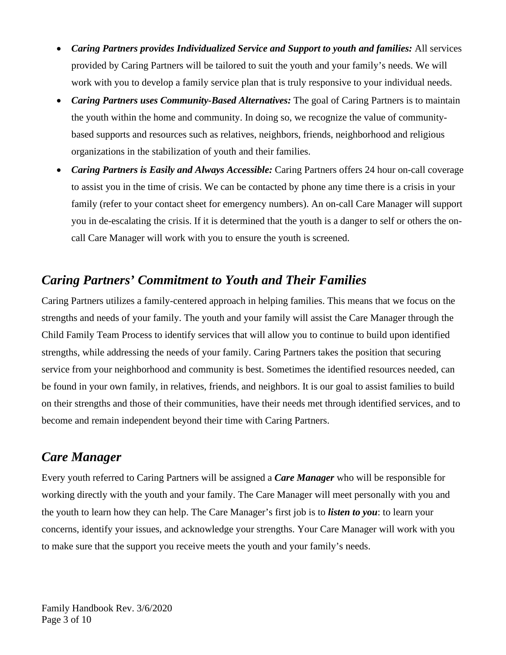- *Caring Partners provides Individualized Service and Support to youth and families:* All services provided by Caring Partners will be tailored to suit the youth and your family's needs. We will work with you to develop a family service plan that is truly responsive to your individual needs.
- *Caring Partners uses Community-Based Alternatives:* The goal of Caring Partners is to maintain the youth within the home and community. In doing so, we recognize the value of communitybased supports and resources such as relatives, neighbors, friends, neighborhood and religious organizations in the stabilization of youth and their families.
- *Caring Partners is Easily and Always Accessible:* Caring Partners offers 24 hour on-call coverage to assist you in the time of crisis. We can be contacted by phone any time there is a crisis in your family (refer to your contact sheet for emergency numbers). An on-call Care Manager will support you in de-escalating the crisis. If it is determined that the youth is a danger to self or others the oncall Care Manager will work with you to ensure the youth is screened.

#### *Caring Partners' Commitment to Youth and Their Families*

Caring Partners utilizes a family-centered approach in helping families. This means that we focus on the strengths and needs of your family. The youth and your family will assist the Care Manager through the Child Family Team Process to identify services that will allow you to continue to build upon identified strengths, while addressing the needs of your family. Caring Partners takes the position that securing service from your neighborhood and community is best. Sometimes the identified resources needed, can be found in your own family, in relatives, friends, and neighbors. It is our goal to assist families to build on their strengths and those of their communities, have their needs met through identified services, and to become and remain independent beyond their time with Caring Partners.

#### *Care Manager*

Every youth referred to Caring Partners will be assigned a *Care Manager* who will be responsible for working directly with the youth and your family. The Care Manager will meet personally with you and the youth to learn how they can help. The Care Manager's first job is to *listen to you*: to learn your concerns, identify your issues, and acknowledge your strengths. Your Care Manager will work with you to make sure that the support you receive meets the youth and your family's needs.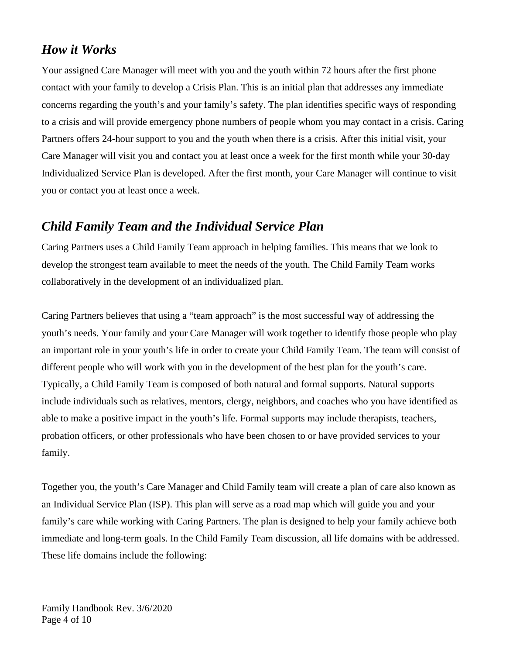#### *How it Works*

Your assigned Care Manager will meet with you and the youth within 72 hours after the first phone contact with your family to develop a Crisis Plan. This is an initial plan that addresses any immediate concerns regarding the youth's and your family's safety. The plan identifies specific ways of responding to a crisis and will provide emergency phone numbers of people whom you may contact in a crisis. Caring Partners offers 24-hour support to you and the youth when there is a crisis. After this initial visit, your Care Manager will visit you and contact you at least once a week for the first month while your 30-day Individualized Service Plan is developed. After the first month, your Care Manager will continue to visit you or contact you at least once a week.

#### *Child Family Team and the Individual Service Plan*

Caring Partners uses a Child Family Team approach in helping families. This means that we look to develop the strongest team available to meet the needs of the youth. The Child Family Team works collaboratively in the development of an individualized plan.

Caring Partners believes that using a "team approach" is the most successful way of addressing the youth's needs. Your family and your Care Manager will work together to identify those people who play an important role in your youth's life in order to create your Child Family Team. The team will consist of different people who will work with you in the development of the best plan for the youth's care. Typically, a Child Family Team is composed of both natural and formal supports. Natural supports include individuals such as relatives, mentors, clergy, neighbors, and coaches who you have identified as able to make a positive impact in the youth's life. Formal supports may include therapists, teachers, probation officers, or other professionals who have been chosen to or have provided services to your family.

Together you, the youth's Care Manager and Child Family team will create a plan of care also known as an Individual Service Plan (ISP). This plan will serve as a road map which will guide you and your family's care while working with Caring Partners. The plan is designed to help your family achieve both immediate and long-term goals. In the Child Family Team discussion, all life domains with be addressed. These life domains include the following: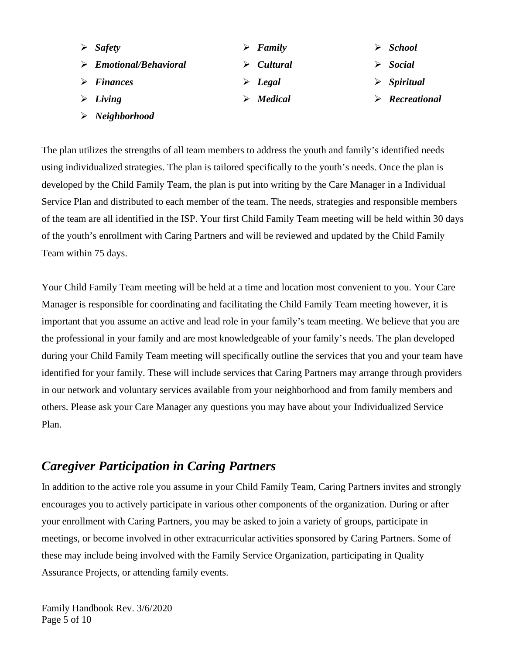| $\triangleright$ Safety               | $\triangleright$ Family   | $\triangleright$ School       |
|---------------------------------------|---------------------------|-------------------------------|
| $\triangleright$ Emotional/Behavioral | $\triangleright$ Cultural | $\triangleright$ Social       |
| $\triangleright$ Finances             | $\triangleright$ Legal    | $\triangleright$ Spiritual    |
| $\triangleright$ Living               | $\triangleright$ Medical  | $\triangleright$ Recreational |
| $\triangleright$ Neighborhood         |                           |                               |

The plan utilizes the strengths of all team members to address the youth and family's identified needs using individualized strategies. The plan is tailored specifically to the youth's needs. Once the plan is developed by the Child Family Team, the plan is put into writing by the Care Manager in a Individual Service Plan and distributed to each member of the team. The needs, strategies and responsible members of the team are all identified in the ISP. Your first Child Family Team meeting will be held within 30 days of the youth's enrollment with Caring Partners and will be reviewed and updated by the Child Family Team within 75 days.

Your Child Family Team meeting will be held at a time and location most convenient to you. Your Care Manager is responsible for coordinating and facilitating the Child Family Team meeting however, it is important that you assume an active and lead role in your family's team meeting. We believe that you are the professional in your family and are most knowledgeable of your family's needs. The plan developed during your Child Family Team meeting will specifically outline the services that you and your team have identified for your family. These will include services that Caring Partners may arrange through providers in our network and voluntary services available from your neighborhood and from family members and others. Please ask your Care Manager any questions you may have about your Individualized Service Plan.

#### *Caregiver Participation in Caring Partners*

In addition to the active role you assume in your Child Family Team, Caring Partners invites and strongly encourages you to actively participate in various other components of the organization. During or after your enrollment with Caring Partners, you may be asked to join a variety of groups, participate in meetings, or become involved in other extracurricular activities sponsored by Caring Partners. Some of these may include being involved with the Family Service Organization, participating in Quality Assurance Projects, or attending family events.

Family Handbook Rev. 3/6/2020 Page 5 of 10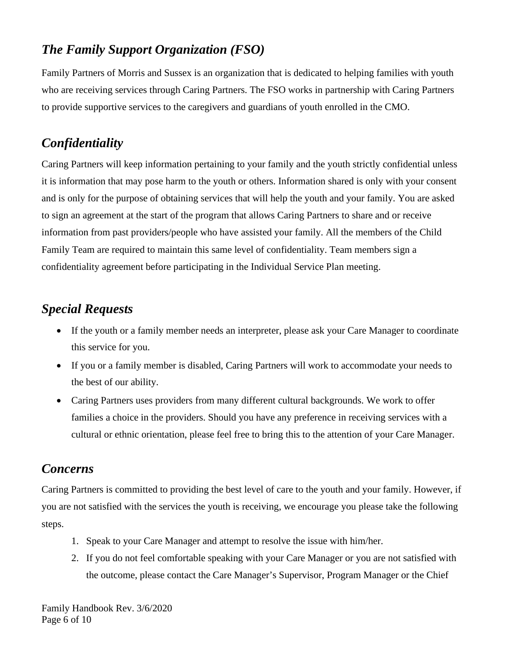## *The Family Support Organization (FSO)*

Family Partners of Morris and Sussex is an organization that is dedicated to helping families with youth who are receiving services through Caring Partners. The FSO works in partnership with Caring Partners to provide supportive services to the caregivers and guardians of youth enrolled in the CMO.

### *Confidentiality*

Caring Partners will keep information pertaining to your family and the youth strictly confidential unless it is information that may pose harm to the youth or others. Information shared is only with your consent and is only for the purpose of obtaining services that will help the youth and your family. You are asked to sign an agreement at the start of the program that allows Caring Partners to share and or receive information from past providers/people who have assisted your family. All the members of the Child Family Team are required to maintain this same level of confidentiality. Team members sign a confidentiality agreement before participating in the Individual Service Plan meeting.

### *Special Requests*

- If the youth or a family member needs an interpreter, please ask your Care Manager to coordinate this service for you.
- If you or a family member is disabled, Caring Partners will work to accommodate your needs to the best of our ability.
- Caring Partners uses providers from many different cultural backgrounds. We work to offer families a choice in the providers. Should you have any preference in receiving services with a cultural or ethnic orientation, please feel free to bring this to the attention of your Care Manager.

## *Concerns*

Caring Partners is committed to providing the best level of care to the youth and your family. However, if you are not satisfied with the services the youth is receiving, we encourage you please take the following steps.

- 1. Speak to your Care Manager and attempt to resolve the issue with him/her.
- 2. If you do not feel comfortable speaking with your Care Manager or you are not satisfied with the outcome, please contact the Care Manager's Supervisor, Program Manager or the Chief

Family Handbook Rev. 3/6/2020 Page 6 of 10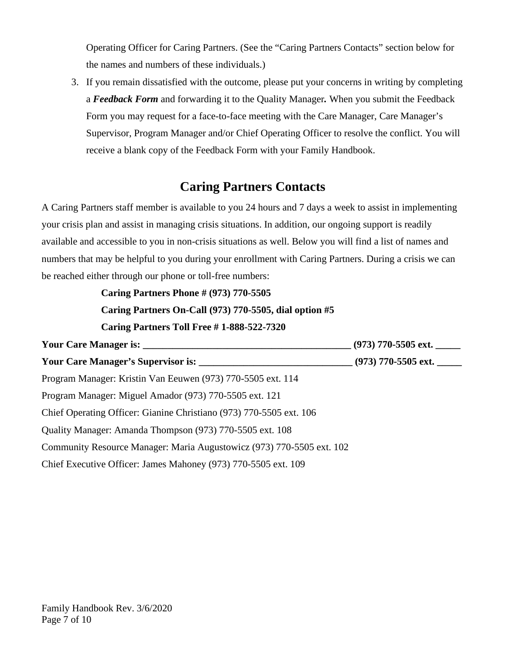Operating Officer for Caring Partners. (See the "Caring Partners Contacts" section below for the names and numbers of these individuals.)

3. If you remain dissatisfied with the outcome, please put your concerns in writing by completing a *Feedback Form* and forwarding it to the Quality Manager*.* When you submit the Feedback Form you may request for a face-to-face meeting with the Care Manager, Care Manager's Supervisor, Program Manager and/or Chief Operating Officer to resolve the conflict. You will receive a blank copy of the Feedback Form with your Family Handbook.

### **Caring Partners Contacts**

A Caring Partners staff member is available to you 24 hours and 7 days a week to assist in implementing your crisis plan and assist in managing crisis situations. In addition, our ongoing support is readily available and accessible to you in non-crisis situations as well. Below you will find a list of names and numbers that may be helpful to you during your enrollment with Caring Partners. During a crisis we can be reached either through our phone or toll-free numbers:

**Caring Partners Phone # (973) 770-5505 Caring Partners On-Call (973) 770-5505, dial option #5 Caring Partners Toll Free # 1-888-522-7320 Your Care Manager is: \_\_\_\_\_\_\_\_\_\_\_\_\_\_\_\_\_\_\_\_\_\_\_\_\_\_\_\_\_\_\_\_\_\_\_\_\_\_\_\_\_\_ (973) 770-5505 ext. \_\_\_\_\_ Your Care Manager's Supervisor is:**  $(973)$  **770-5505 ext.** Program Manager: Kristin Van Eeuwen (973) 770-5505 ext. 114 Program Manager: Miguel Amador (973) 770-5505 ext. 121 Chief Operating Officer: Gianine Christiano (973) 770-5505 ext. 106 Quality Manager: Amanda Thompson (973) 770-5505 ext. 108 Community Resource Manager: Maria Augustowicz (973) 770-5505 ext. 102 Chief Executive Officer: James Mahoney (973) 770-5505 ext. 109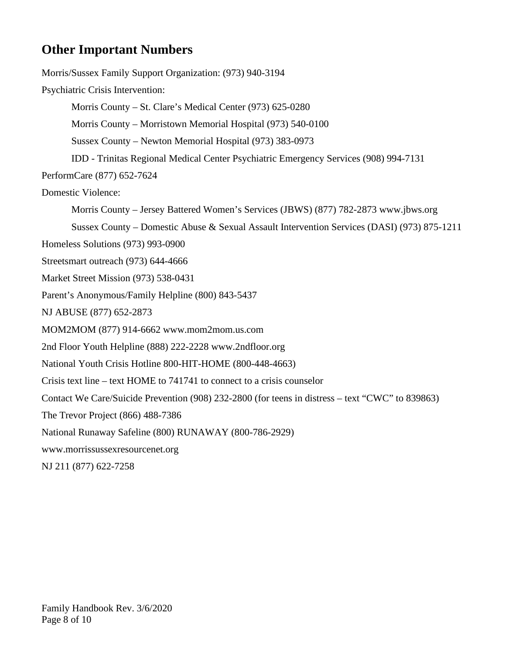### **Other Important Numbers**

Morris/Sussex Family Support Organization: (973) 940-3194 Psychiatric Crisis Intervention: Morris County – St. Clare's Medical Center (973) 625-0280 Morris County – Morristown Memorial Hospital (973) 540-0100 Sussex County – Newton Memorial Hospital (973) 383-0973 IDD - Trinitas Regional Medical Center Psychiatric Emergency Services (908) 994-7131 PerformCare (877) 652-7624 Domestic Violence: Morris County – Jersey Battered Women's Services (JBWS) (877) 782-2873 [www.jbws.org](http://www.jbws.org/) Sussex County – Domestic Abuse & Sexual Assault Intervention Services (DASI) (973) 875-1211 Homeless Solutions (973) 993-0900 Streetsmart outreach (973) 644-4666 Market Street Mission (973) 538-0431 Parent's Anonymous/Family Helpline (800) 843-5437 NJ ABUSE (877) 652-2873 MOM2MOM (877) 914-6662 [www.mom2mom.us.com](http://www.mom2mom.us.com/) 2nd Floor Youth Helpline (888) 222-2228 [www.2ndfloor.org](http://www.2ndfloor.org/) National Youth Crisis Hotline 800-HIT-HOME (800-448-4663) Crisis text line – text HOME to 741741 to connect to a crisis counselor Contact We Care/Suicide Prevention (908) 232-2800 (for teens in distress – text "CWC" to 839863) The Trevor Project (866) 488-7386 National Runaway Safeline (800) RUNAWAY (800-786-2929) [www.morrissussexresourcenet.org](http://www.morrissussexresourcenet.org/) NJ 211 (877) 622-7258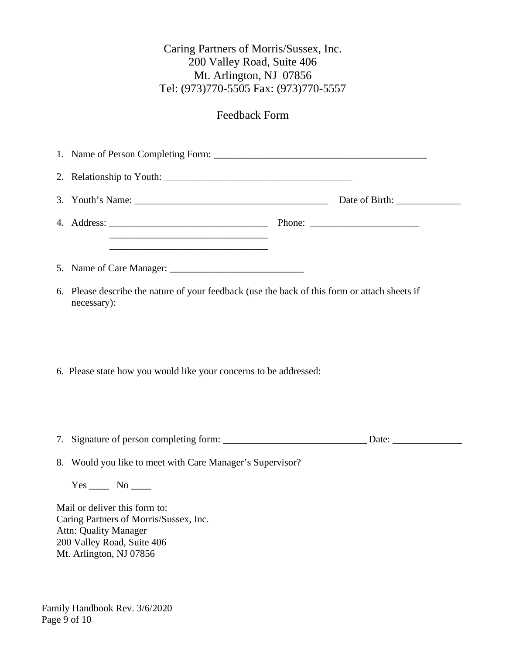#### Caring Partners of Morris/Sussex, Inc. 200 Valley Road, Suite 406 Mt. Arlington, NJ 07856 Tel: (973)770-5505 Fax: (973)770-5557

#### Feedback Form

| <u> 1980 - Johann Barbara, margaret eta biztanleria (h. 1980).</u>                                                     |                                                                                                      |
|------------------------------------------------------------------------------------------------------------------------|------------------------------------------------------------------------------------------------------|
| <u> 1989 - Johann John Stone, mars et al. 1989 - John Stone, mars et al. 1989 - John Stone, mars et al. 1989 - Joh</u> |                                                                                                      |
| necessary):                                                                                                            | 6. Please describe the nature of your feedback (use the back of this form or attach sheets if        |
| 6. Please state how you would like your concerns to be addressed:                                                      |                                                                                                      |
|                                                                                                                        |                                                                                                      |
|                                                                                                                        | 7. Signature of person completing form: __________________________________Date: ____________________ |
| 8. Would you like to meet with Care Manager's Supervisor?                                                              |                                                                                                      |

Mt. Arlington, NJ 07856

Family Handbook Rev. 3/6/2020 Page 9 of 10